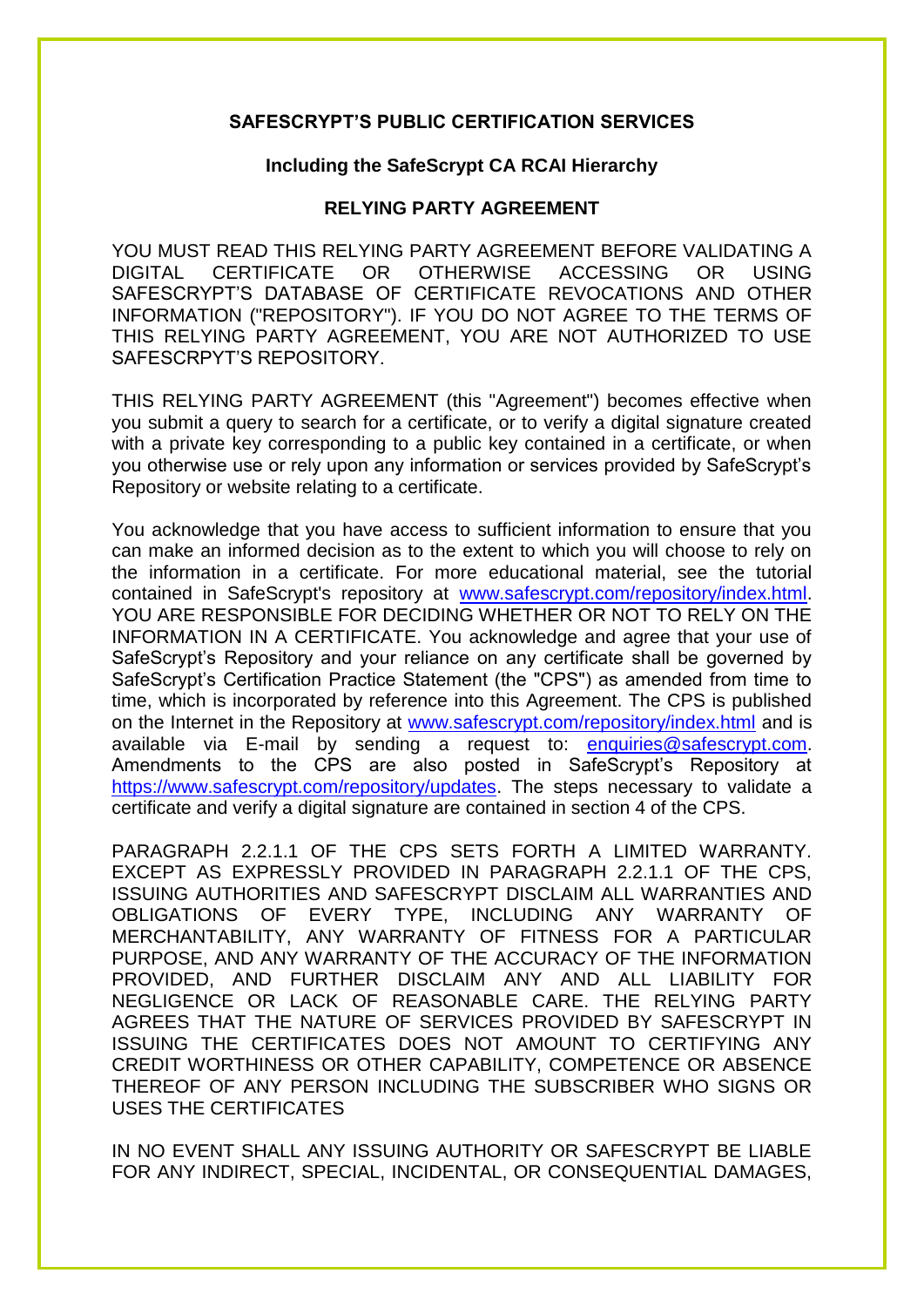## **SAFESCRYPT'S PUBLIC CERTIFICATION SERVICES**

## **Including the SafeScrypt CA RCAI Hierarchy**

## **RELYING PARTY AGREEMENT**

YOU MUST READ THIS RELYING PARTY AGREEMENT BEFORE VALIDATING A DIGITAL CERTIFICATE OR OTHERWISE ACCESSING OR USING SAFESCRYPT'S DATABASE OF CERTIFICATE REVOCATIONS AND OTHER INFORMATION ("REPOSITORY"). IF YOU DO NOT AGREE TO THE TERMS OF THIS RELYING PARTY AGREEMENT, YOU ARE NOT AUTHORIZED TO USE SAFESCRPYT'S REPOSITORY.

THIS RELYING PARTY AGREEMENT (this "Agreement") becomes effective when you submit a query to search for a certificate, or to verify a digital signature created with a private key corresponding to a public key contained in a certificate, or when you otherwise use or rely upon any information or services provided by SafeScrypt's Repository or website relating to a certificate.

You acknowledge that you have access to sufficient information to ensure that you can make an informed decision as to the extent to which you will choose to rely on the information in a certificate. For more educational material, see the tutorial contained in SafeScrypt's repository at [www.safescrypt.com/repository/index.html.](http://www.safescrypt.com/repository/index.html) YOU ARE RESPONSIBLE FOR DECIDING WHETHER OR NOT TO RELY ON THE INFORMATION IN A CERTIFICATE. You acknowledge and agree that your use of SafeScrypt's Repository and your reliance on any certificate shall be governed by SafeScrypt's Certification Practice Statement (the "CPS") as amended from time to time, which is incorporated by reference into this Agreement. The CPS is published on the Internet in the Repository at [www.safescrypt.com/repository/index.html](http://www.safescrypt.com/repository/index.html) and is available via E-mail by sending a request to: [enquiries@safescrypt.com.](mailto:enquiries@safescrypt.com) Amendments to the CPS are also posted in SafeScrypt's Repository at [https://www.safescrypt.com/repository/updates.](https://www.safescrypt.com/repository/updates) The steps necessary to validate a certificate and verify a digital signature are contained in section 4 of the CPS.

PARAGRAPH 2.2.1.1 OF THE CPS SETS FORTH A LIMITED WARRANTY. EXCEPT AS EXPRESSLY PROVIDED IN PARAGRAPH 2.2.1.1 OF THE CPS, ISSUING AUTHORITIES AND SAFESCRYPT DISCLAIM ALL WARRANTIES AND OBLIGATIONS OF EVERY TYPE, INCLUDING ANY WARRANTY OF MERCHANTABILITY, ANY WARRANTY OF FITNESS FOR A PARTICULAR PURPOSE, AND ANY WARRANTY OF THE ACCURACY OF THE INFORMATION PROVIDED, AND FURTHER DISCLAIM ANY AND ALL LIABILITY FOR NEGLIGENCE OR LACK OF REASONABLE CARE. THE RELYING PARTY AGREES THAT THE NATURE OF SERVICES PROVIDED BY SAFESCRYPT IN ISSUING THE CERTIFICATES DOES NOT AMOUNT TO CERTIFYING ANY CREDIT WORTHINESS OR OTHER CAPABILITY, COMPETENCE OR ABSENCE THEREOF OF ANY PERSON INCLUDING THE SUBSCRIBER WHO SIGNS OR USES THE CERTIFICATES

IN NO EVENT SHALL ANY ISSUING AUTHORITY OR SAFESCRYPT BE LIABLE FOR ANY INDIRECT, SPECIAL, INCIDENTAL, OR CONSEQUENTIAL DAMAGES,